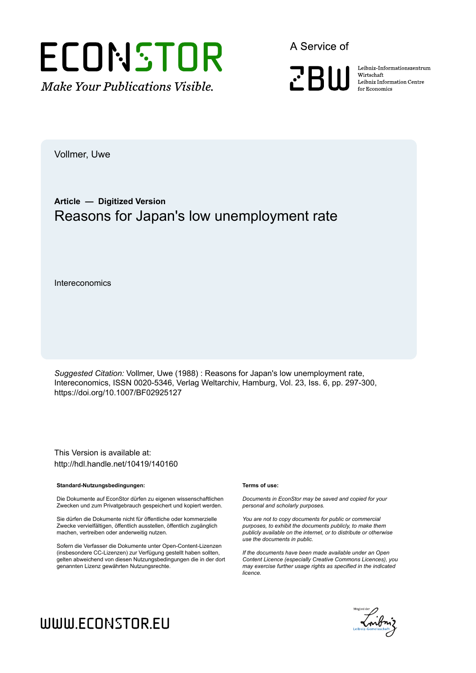

A Service of

**ZBW** 

Leibniz-Informationszentrum Wirtschaft Leibniz Information Centre for Economics

Vollmer, Uwe

# **Article — Digitized Version** Reasons for Japan's low unemployment rate

Intereconomics

*Suggested Citation:* Vollmer, Uwe (1988) : Reasons for Japan's low unemployment rate, Intereconomics, ISSN 0020-5346, Verlag Weltarchiv, Hamburg, Vol. 23, Iss. 6, pp. 297-300, https://doi.org/10.1007/BF02925127

This Version is available at: http://hdl.handle.net/10419/140160

#### **Standard-Nutzungsbedingungen:**

Die Dokumente auf EconStor dürfen zu eigenen wissenschaftlichen Zwecken und zum Privatgebrauch gespeichert und kopiert werden.

Sie dürfen die Dokumente nicht für öffentliche oder kommerzielle Zwecke vervielfältigen, öffentlich ausstellen, öffentlich zugänglich machen, vertreiben oder anderweitig nutzen.

Sofern die Verfasser die Dokumente unter Open-Content-Lizenzen (insbesondere CC-Lizenzen) zur Verfügung gestellt haben sollten, gelten abweichend von diesen Nutzungsbedingungen die in der dort genannten Lizenz gewährten Nutzungsrechte.

#### **Terms of use:**

*Documents in EconStor may be saved and copied for your personal and scholarly purposes.*

*You are not to copy documents for public or commercial purposes, to exhibit the documents publicly, to make them publicly available on the internet, or to distribute or otherwise use the documents in public.*

*If the documents have been made available under an Open Content Licence (especially Creative Commons Licences), you may exercise further usage rights as specified in the indicated licence.*

# Enibriz Geneinschaft

# WWW.ECONSTOR.EU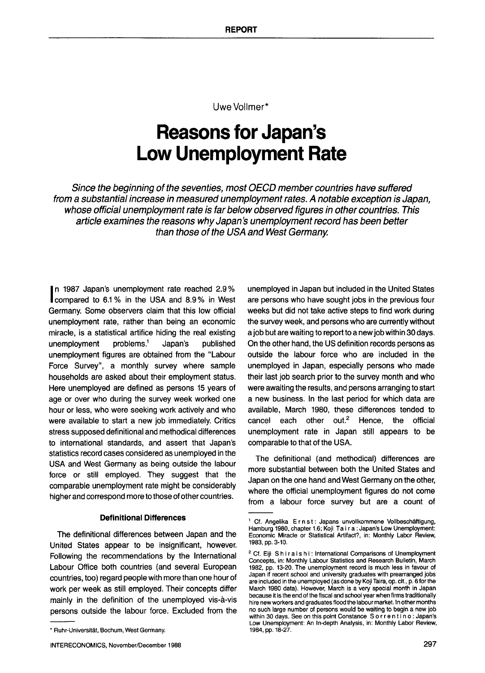Uwe Vollmer\*

# **Reasons for Japan's Low Unemployment Rate**

*Since the beginning of the seventies, most OECD member countries have suffered from a substantial increase in measured unemployment rates. A notable exception is Japan, whose official unemployment rate is far below observed figures in other countries. This article examines the reasons why Japan's unemployment record has been better than those of the USA and West Germany.* 

**I** n 1987 Japan's unemployment rate reached 2.9% compared to 6.1% in the USA and 8.9% in West Germany. Some observers claim that this low official unemployment rate, rather than being an economic miracle, is a statistical artifice hiding the real existing unemployment  $problems<sup>1</sup>$  Japan's published unemployment figures are obtained from the "Labour Force Survey", a monthly survey where sample households are asked about their employment status. Here unemployed are defined as persons 15 years of age or over who during the survey week worked one hour or less, who were seeking work actively and who were available to start a new job immediately. Critics stress supposed definitional and methodical differences to international standards, and assert that Japan's statistics record cases considered as unemployed in the USA and West Germany as being outside the labour force or still employed. They suggest that the comparable unemployment rate might be considerably higher and correspond more to those of other countries.

### **Definitional Differences**

The definitional differences between Japan and the United States appear to be insignificant, however. Following the recommendations by the International Labour Office both countries (and several European countries, too) regard people with more than one hour of work per week as still employed. Their concepts differ mainly in the definition of the unemployed vis-a-vis persons outside the labour force. Excluded from the unemployed in Japan but included in the United States are persons who have sought jobs in the previous four weeks but did not take active steps to find work during the survey week, and persons who are currently without a job but are waiting to report to a new job within 30 days. On the other hand, the US definition records persons as outside the labour force who are included in the unemployed in Japan, especially persons who made their last job search prior to the survey month and who were awaiting the results, and persons arranging to start a new business. In the last period for which data are available, March 1980, these differences tended to cancel each other out. $2$  Hence, the official unemployment rate in Japan still appears to be comparable to that of the USA.

The definitional (and methodical) differences are more substantial between both the United States and Japan on the one hand and West Germany on the other, where the official unemployment figures do not come from a labour force survey but are a count of

<sup>\*</sup> Ruhr-Universit&t, Bochum, West Germany.

<sup>&</sup>lt;sup>1</sup> Cf. Angelika  $E \cap s$ t: Japans unvollkommene Vollbeschäftigung, Hamburg 1980, chapter 1.6; Koji Ta i r a : Japan's Low **Unemployment:**  Economic Miracle or Statistical Artifact?, in: Monthly Labor Review, 1983, pp. 3-10.

<sup>&</sup>lt;sup>2</sup> Cf. Eiji Shiraishi: International Comparisons of Unemployment Concepts, in: Monthly Labour Statistics and Research Bulletin, March 1982, pp. 13-20. The unemployment record is much less in favour of Japan if recent school and university graduates with prearranged jobs are included in the unemployed (as done by Koji Taira, op. cit., p. 6 for the March 1980 data). However, March is a very special month in **Japan**  because it is the end of the fiscal and school year when firms traditionally hire new workers and graduates flood the labour market. In other months no such large number of persons would be waiting to begin a new job within 30 days. See on this point Constance S o r r e n t i n o : **Japan's**  Low Unemployment: An In-depth Analysis, in: Monthly Labor Review, 1984, pp. 18-27.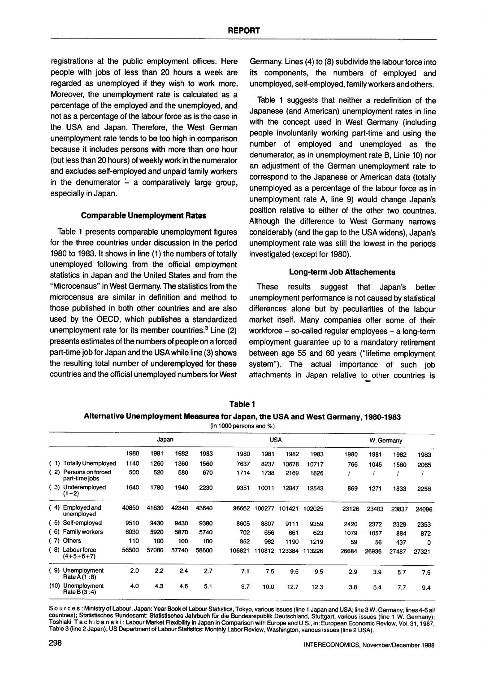registrations at the public employment offices. Here people with jobs of less than 20 hours a week are regarded as unemployed if they wish to work more. Moreover, the unemployment rate is calculated as a percentage of the employed and the unemployed, and not as a percentage of the labour force as is the case in the USA and Japan. Therefore, the West German unemployment rate tends to be too high in comparison because it includes persons with more than one hour (but less than 20 hours) of weekly work in the numerator and excludes self-employed and unpaid family workers in the denumerator  $\frac{1}{x}$  a comparatively large group, especially in Japan.

### **Comparable Unemployment Rates**

Table 1 presents comparable unemployment figures for the three countries under discussion in the period 1980 to 1983. It shows in line (1) the numbers of totally unemployed following from the official employment statistics in Japan and the United States and from the "Microcensus" in West Germany. The statistics from the microcensus are similar in definition and method to those published in both other countries and are also used by the OECD, which publishes a standardized unemployment rate for its member countries.<sup>3</sup> Line  $(2)$ presents estimates of the numbers of people on a forced part-time job for Japan and the USA while line (3) shows the resulting total number of underemployed for these countries and the official unemployed numbers for West Germany. Lines (4) to (8) subdivide the labour force into its components, the numbers of employed and unemployed, self-employed, family workers and others.

Table 1 suggests that neither a redefinition of the Japanese (and American) unemployment rates in line with the concept used in West Germany (including people involuntarily working part-time and using the number of employed and unemployed as the denumerator, as in unemployment rate B, Linie 10) nor an adjustment of the German unemployment rate to correspond to the Japanese or American data (totally unemployed as a percentage of the labour force as in unemployment rate A, line 9) would change Japan's position relative to either of the other two countries. Although the difference to West Germany narrows considerably (and the gap to the USA widens), Japan's unemployment rate was still the lowest in the periods investigated (except for 1980).

### **Long-term Job Attachements**

These results suggest that Japan's better unemployment performance is not caused by statistical differences alone but by peculiarities of the labour market itself. Many companies offer some of their workforce  $-$  so-called regular employees  $-$  a long-term employment guarantee up to a mandatory retirement between age 55 and 60 years ("lifetime employment system"). The actual importance of such job attachments in Japan relative to other countries is

| Table 1                                                                          |  |
|----------------------------------------------------------------------------------|--|
| Alternative Unemployment Measures for Japan, the USA and West Germany, 1980-1983 |  |

(in 1000 persons and %)

|      |                                     | Japan |       |       |       | <b>USA</b> |        |        | W. Germany |       |       |       |       |
|------|-------------------------------------|-------|-------|-------|-------|------------|--------|--------|------------|-------|-------|-------|-------|
|      |                                     |       |       |       |       |            |        |        |            |       |       |       |       |
|      |                                     | 1980  | 1981  | 1982  | 1983  | 1980       | 1981   | 1982   | 1983       | 1980  | 1981  | 1982  | 1983  |
| (1)  | <b>Totally Unemployed</b>           | 1140  | 1260  | 1360  | 1560  | 7637       | 8237   | 10678  | 10717      | 766   | 1045  | 1560  | 2065  |
| -2)  | Persons on forced<br>part-time jobs | 500   | 520   | 580   | 670   | 1714       | 1738   | 2169   | 1826       |       |       |       |       |
| -3)  | Underemployed<br>$(1+2)$            | 1640  | 1780  | 1940  | 2230  | 9351       | 10011  | 12847  | 12543      | 869   | 1271  | 1833  | 2258  |
| (4)  | Employed and<br>unemployed          | 40850 | 41630 | 42340 | 43640 | 96662      | 100277 | 101421 | 102025     | 23126 | 23403 | 23837 | 24096 |
| (5)  | Self-employed                       | 9510  | 9430  | 9430  | 9380  | 8605       | 8807   | 9111   | 9359       | 2420  | 2372  | 2329  | 2353  |
| (6)  | Family workers                      | 6030  | 5920  | 5870  | 5740  | 702        | 656    | 661    | 623        | 1079  | 1057  | 884   | 872   |
| (7)  | Others                              | 110   | 100   | 100   | 100   | 852        | 982    | 1190   | 1219       | 59    | 56    | 437   | 0     |
| (8)  | Labour force<br>$(4+5+6+7)$         | 56500 | 57080 | 57740 | 58600 | 106821     | 110812 | 123384 | 113226     | 26684 | 26936 | 27487 | 27321 |
| -9)  | Unemployment<br>Rate A (1:8)        | 2.0   | 2.2   | 2.4   | 2.7   | 7.1        | 7.5    | 9.5    | 9.5        | 2.9   | 3.9   | 5.7   | 7.6   |
| (10) | Unemployment<br>Rate B $(3:4)$      | 4.0   | 4.3   | 4.6   | 5.1   | 9.7        | 10.0   | 12.7   | 12.3       | 3.8   | 5.4   | 7.7   | 9.4   |

S o u r c e s : Ministry of Labour, Japan: Year Book of Labour Statistics, Tokyo, various issues (line 1 Japan and USA; line 3 W. Germany; lines 4-6 all countries); Statistisches Bundesamt: Statistisches Jahrbuch für die Bundesrepublik Deutschland, Stuttgart, various issues (line 1 W. Germany); Toshiaki Tachibanaki: Labour Market Flexibility in Japan in Comparison with Europe and U.S., in: European Economic Review, Vol. 31, 1987, Table 3 (line 2 Japan); US Department of Labour Statistics: Monthly Labor Review, Washington, various issues (line 2 USA).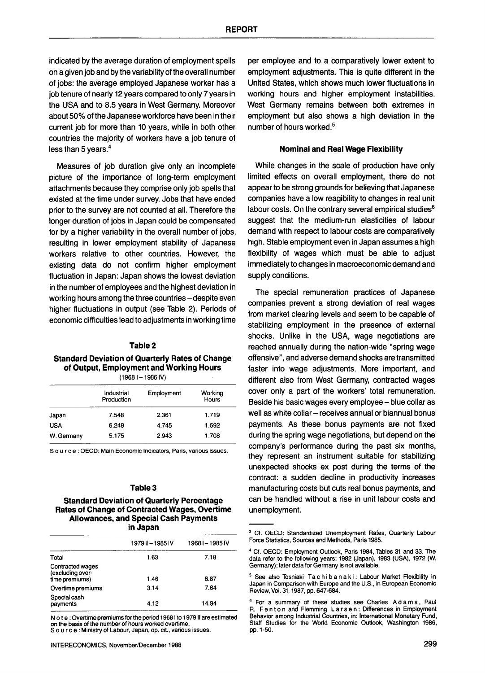indicated by the average duration of employment spells on a given job and by the variability of the overall number of jobs: the average employed Japanese worker has a job tenure of nearly 12 years compared to only 7 years in the USA and to 8.5 years in West Germany. Moreover about 50% of the Japanese workforce have been in their current job for more than 10 years, while in both other countries the majority of workers have a job tenure of less than 5 years.<sup>4</sup>

Measures of job duration give only an incomplete picture of the importance of long-term employment attachments because they comprise only job spells that existed at the time under survey. Jobs that have ended prior to the survey are not counted at all. Therefore the longer duration of jobs in Japan could be compensated for by a higher variability in the overall number of jobs, resulting in lower employment stability of Japanese workers relative to other countries. However, the existing data do not confirm higher employment fluctuation in Japan: Japan shows the lowest deviation in the number of employees and the highest deviation in working hours among the three countries - despite even higher fluctuations in output (see Table 2). Periods of economic difficulties lead to adjustments in working time

# **Table 2**

# **Standard Deviation of Quarterly Rates of Change of Output, Employment and Working Hours**

**(1968 I- 1986 IV)** 

|            | Industrial<br>Production | Employment | Working<br><b>Hours</b> |
|------------|--------------------------|------------|-------------------------|
| Japan      | 7.548                    | 2.361      | 1.719                   |
| <b>USA</b> | 6.249                    | 4.745      | 1.592                   |
| W. Germany | 5.175                    | 2.943      | 1.708                   |

S o u r c e : OECD: Main Economic Indicators, Paris, various issues.

## **Table 3**

#### **Standard Deviation of Quarterly Percentage Rates of Change of Contracted Wages, Overtime Allowances, and Special Cash Payments in Japan**

|                                                        | 1979 II - 1985 IV | 1968 I-1985 IV |
|--------------------------------------------------------|-------------------|----------------|
| Total                                                  | 1.63              | 7.18           |
| Contracted wages<br>(excluding over-<br>time premiums) | 1.46              | 6.87           |
| Overtime premiums                                      | 3.14              | 7.64           |
| Special cash<br>payments                               | 4.12              | 14.94          |

N o t e : Overtime premiums for the period 19681 to 1979 II are estimated on the basis of the number of hours worked overtime. S o u r c e : Ministry of Labour, Japan, op. cit., various issues.

per employee and to a comparatively lower extent to employment adjustments. This is quite different in the United States, which shows much lower fluctuations in working hours and higher employment instabilities. West Germany remains between both extremes in employment but also shows a high deviation in the number of hours worked. 5

### **Nominal and Real Wage** Flexibility

While changes in the scale of production have only limited effects on overall employment, there do not appear to be strong grounds for believing that Japanese companies have a low reagibility to changes in real unit labour costs. On the contrary several empirical studies<sup>6</sup> suggest that the medium-run elasticities of labour demand with respect to labour costs are comparatively high. Stable employment even in Japan assumes a high flexibility of wages which must be able to adjust immediately to changes in macroeconomic demand and supply conditions.

The special remuneration practices of Japanese companies prevent a strong deviation of real wages from market clearing levels and seem to be capable of stabilizing employment in the presence of external shocks. Unlike in the USA, wage negotiations are reached annually during the nation-wide "spring wage offensive", and adverse demand shocks are transmitted faster into wage adjustments. More important, and different also from West Germany, contracted wages cover only a part of the workers' total remuneration. Beside his basic wages every employee- blue collar as well as white collar - receives annual or biannual bonus payments. As these bonus payments are not fixed during the spring wage negotiations, but depend on the company's performance during the past six months, they represent an instrument suitable for stabilizing unexpected shocks ex post during the terms of the contract: a sudden decline in productivity increases manufacturing costs but cuts real bonus payments, and can be handled without a rise in unit labour costs and unemployment.

<sup>&</sup>lt;sup>3</sup> Cf. OECD: Standardized Unemployment Rates, Quarterly Labour Force Statistics, Sources and Methods, Paris 1985.

<sup>&</sup>quot; Cf. OECD: Employment Outlook, Paris 1984, Tables 31 and 33. The data refer to the following years: 1982 (Japan), 1983 (USA), 1972 (W. Germany); later data for Germany is not available.

<sup>&</sup>lt;sup>5</sup> See also Toshiaki Ta chib a n a ki: Labour Market Flexibility in Japan in Comparison with Europe and the U.S., in European Economic Review, VoL 31, 1987, pp. 647-684.

For a summary of these studies see Charles Adams, Paul R. Fenton and Flemming Larsen: Differences in Employment Behavior among Industrial Countries, in: International Monetary Fund, Staff Studies for the World Economic Outlook, Washington 1986, pp. 1-50.